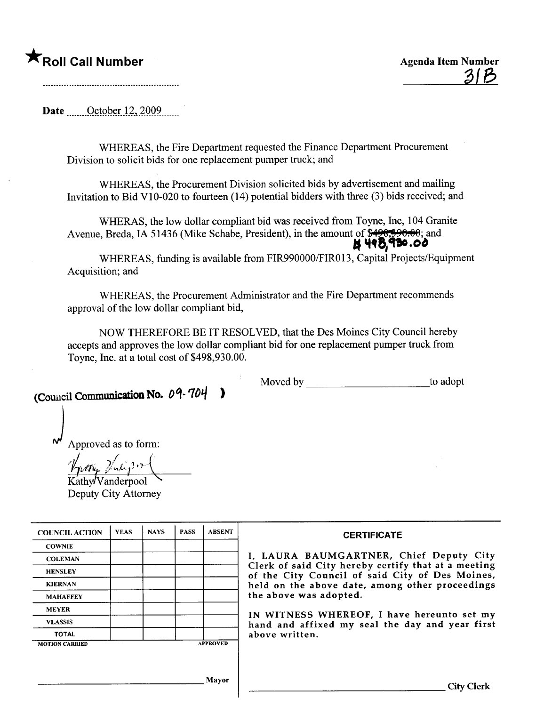## **\***Roll Call Number Agenda Item Number

Date  $\qquad$  October 12, 2009

WHEREAS, the Fire Department requested the Finance Department Procurement Division to solicit bids for one replacement pumper truck; and

WHEREAS, the Procurement Division solicited bids by advertisement and mailing Invitation to Bid V10-020 to fourteen (14) potential bidders with three (3) bids received; and

WHERAS, the low dollar compliant bid was received from Toyne, Inc, 104 Granite Avenue, Breda, IA 51436 (Mike Schabe, President), in the amount of\$49~8~; and . 't~8,~.o'

WHEREAS, fuding is available from FIR990000/FIR013, Capital Projects/Equipment Acquisition; and

WHEREAS, the Procurement Administrator and the Fire Department recommends approval of the low dollar compliant bid,

NOW THEREFORE BE IT RESOLVED, that the Des Moines City Council hereby accepts and approves the low dollar compliant bid for one replacement pumper truck from Toyne, Inc. at a total cost of \$498,930.00.

(Council Communication No.  $0$ 9-704

Moved by to adopt

 $\mathcal{N}$  Approved as to form:

Approved as to form  $K$ athy $\sqrt{V}$ anderpool

Deputy City Attorney

| <b>CERTIFICATE</b>                                                | <b>ABSENT</b>   | <b>PASS</b> | <b>NAYS</b> | <b>YEAS</b> | <b>COUNCIL ACTION</b> |
|-------------------------------------------------------------------|-----------------|-------------|-------------|-------------|-----------------------|
|                                                                   |                 |             |             |             | <b>COWNIE</b>         |
| I, LAURA BAUMGARTNER,                                             |                 |             |             |             | <b>COLEMAN</b>        |
| Clerk of said City hereby certi!<br>of the City Council of said C |                 |             |             |             | <b>HENSLEY</b>        |
| held on the above date, among                                     |                 |             |             |             | <b>KIERNAN</b>        |
| the above was adopted.                                            |                 |             |             |             | <b>MAHAFFEY</b>       |
| IN WITNESS WHEREOF, I have                                        |                 |             |             |             | <b>MEYER</b>          |
| hand and affixed my seal the                                      |                 |             |             |             | <b>VLASSIS</b>        |
| above written.                                                    |                 |             |             |             | <b>TOTAL</b>          |
|                                                                   | <b>APPROVED</b> |             |             |             | <b>MOTION CARRIED</b> |

RTNER, Chief Deputy City eby certify that at a meeting of said City of Des Moines, te, among other proceedings<br>d.

OF, I have hereunto set my seal the day and year first